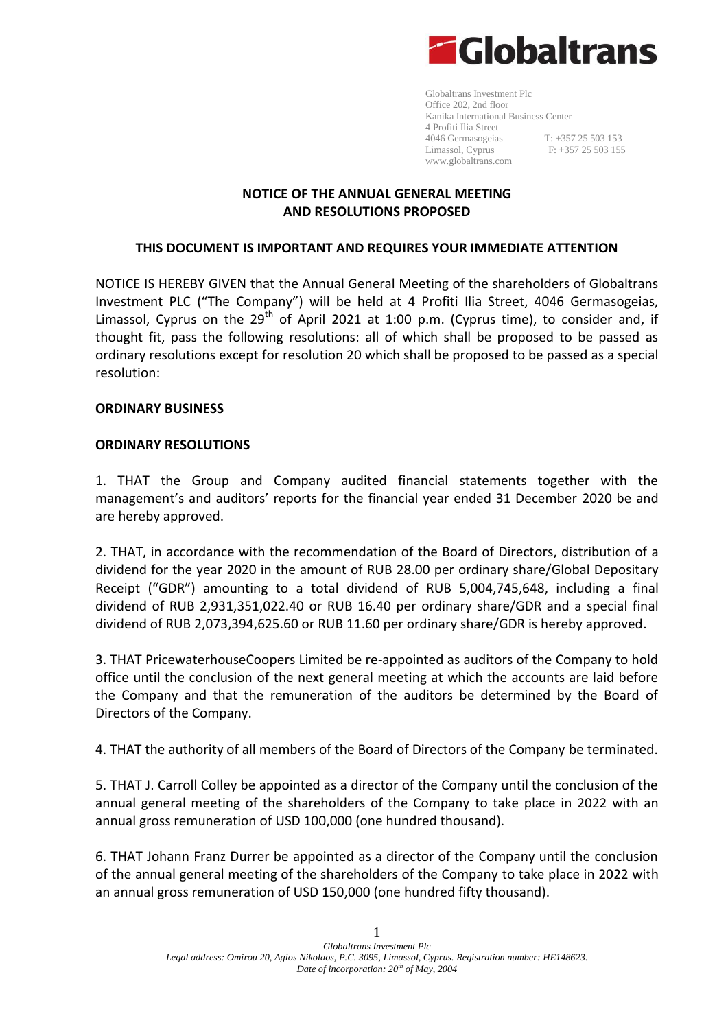

Globaltrans Investment Plc Office 202, 2nd floor Kanika International Business Center 4 Profiti Ilia Street 4046 Germasogeias T: +357 25 503 153 Limassol, Cyprus F: +357 25 503 155 [www.globaltrans.com](http://www.globaltrans.com/)

# **NOTICE OF THE ANNUAL GENERAL MEETING AND RESOLUTIONS PROPOSED**

# **THIS DOCUMENT IS IMPORTANT AND REQUIRES YOUR IMMEDIATE ATTENTION**

NOTICE IS HEREBY GIVEN that the Annual General Meeting of the shareholders of Globaltrans Investment PLC ("The Company") will be held at 4 Profiti Ilia Street, 4046 Germasogeias, Limassol, Cyprus on the  $29<sup>th</sup>$  of April 2021 at 1:00 p.m. (Cyprus time), to consider and, if thought fit, pass the following resolutions: all of which shall be proposed to be passed as ordinary resolutions except for resolution 20 which shall be proposed to be passed as a special resolution:

# **ORDINARY BUSINESS**

# **ORDINARY RESOLUTIONS**

1. THAT the Group and Company audited financial statements together with the management's and auditors' reports for the financial year ended 31 December 2020 be and are hereby approved.

2. THAT, in accordance with the recommendation of the Board of Directors, distribution of a dividend for the year 2020 in the amount of RUB 28.00 per ordinary share/Global Depositary Receipt ("GDR") amounting to a total dividend of RUB 5,004,745,648, including a final dividend of RUB 2,931,351,022.40 or RUB 16.40 per ordinary share/GDR and a special final dividend of RUB 2,073,394,625.60 or RUB 11.60 per ordinary share/GDR is hereby approved.

3. THAT PricewaterhouseCoopers Limited be re-appointed as auditors of the Company to hold office until the conclusion of the next general meeting at which the accounts are laid before the Company and that the remuneration of the auditors be determined by the Board of Directors of the Company.

4. THAT the authority of all members of the Board of Directors of the Company be terminated.

5. THAT J. Carroll Colley be appointed as a director of the Company until the conclusion of the annual general meeting of the shareholders of the Company to take place in 2022 with an annual gross remuneration of USD 100,000 (one hundred thousand).

6. THAT Johann Franz Durrer be appointed as a director of the Company until the conclusion of the annual general meeting of the shareholders of the Company to take place in 2022 with an annual gross remuneration of USD 150,000 (one hundred fifty thousand).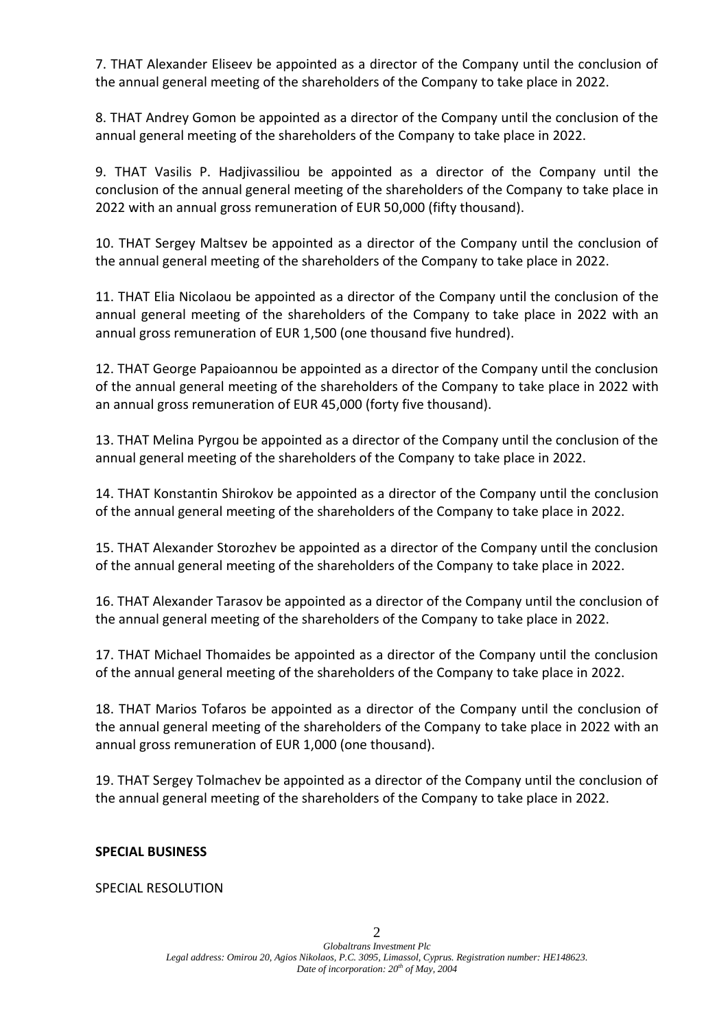7. THAT Alexander Eliseev be appointed as a director of the Company until the conclusion of the annual general meeting of the shareholders of the Company to take place in 2022.

8. THAT Andrey Gomon be appointed as a director of the Company until the conclusion of the annual general meeting of the shareholders of the Company to take place in 2022.

9. THAT Vasilis P. Hadjivassiliou be appointed as a director of the Company until the conclusion of the annual general meeting of the shareholders of the Company to take place in 2022 with an annual gross remuneration of EUR 50,000 (fifty thousand).

10. THAT Sergey Maltsev be appointed as a director of the Company until the conclusion of the annual general meeting of the shareholders of the Company to take place in 2022.

11. THAT Elia Nicolaou be appointed as a director of the Company until the conclusion of the annual general meeting of the shareholders of the Company to take place in 2022 with an annual gross remuneration of EUR 1,500 (one thousand five hundred).

12. THAT George Papaioannou be appointed as a director of the Company until the conclusion of the annual general meeting of the shareholders of the Company to take place in 2022 with an annual gross remuneration of EUR 45,000 (forty five thousand).

13. THAT Melina Pyrgou be appointed as a director of the Company until the conclusion of the annual general meeting of the shareholders of the Company to take place in 2022.

14. THAT Konstantin Shirokov be appointed as a director of the Company until the conclusion of the annual general meeting of the shareholders of the Company to take place in 2022.

15. THAT Alexander Storozhev be appointed as a director of the Company until the conclusion of the annual general meeting of the shareholders of the Company to take place in 2022.

16. THAT Alexander Tarasov be appointed as a director of the Company until the conclusion of the annual general meeting of the shareholders of the Company to take place in 2022.

17. THAT Michael Thomaides be appointed as a director of the Company until the conclusion of the annual general meeting of the shareholders of the Company to take place in 2022.

18. THAT Marios Tofaros be appointed as a director of the Company until the conclusion of the annual general meeting of the shareholders of the Company to take place in 2022 with an annual gross remuneration of EUR 1,000 (one thousand).

19. THAT Sergey Tolmachev be appointed as a director of the Company until the conclusion of the annual general meeting of the shareholders of the Company to take place in 2022.

# **SPECIAL BUSINESS**

SPECIAL RESOLUTION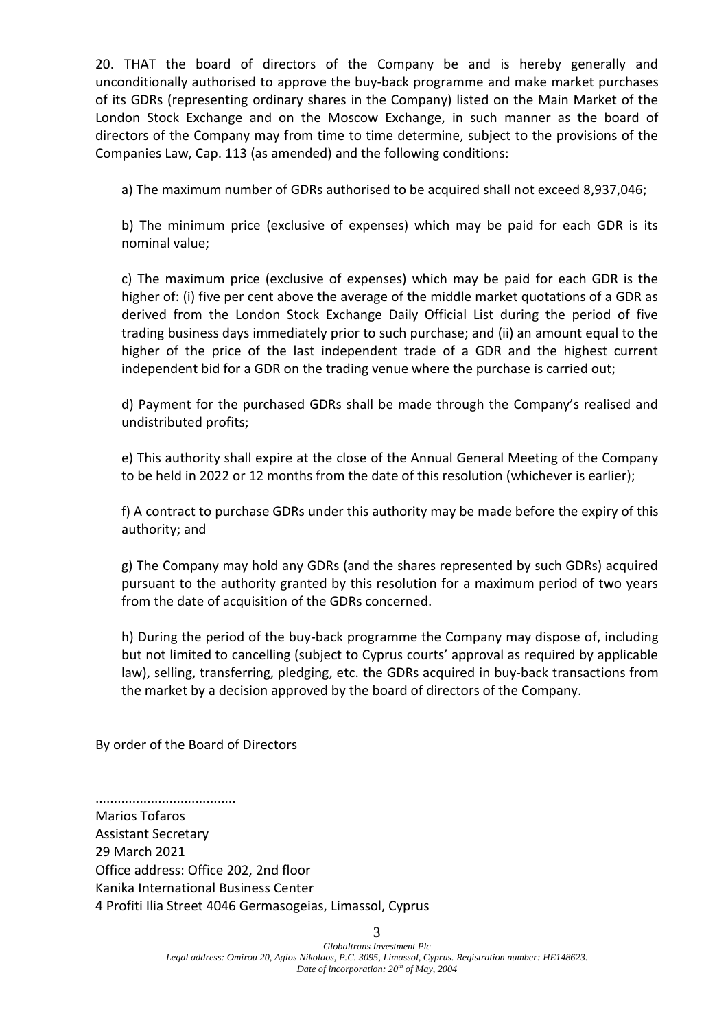20. THAT the board of directors of the Company be and is hereby generally and unconditionally authorised to approve the buy-back programme and make market purchases of its GDRs (representing ordinary shares in the Company) listed on the Main Market of the London Stock Exchange and on the Moscow Exchange, in such manner as the board of directors of the Company may from time to time determine, subject to the provisions of the Companies Law, Cap. 113 (as amended) and the following conditions:

a) The maximum number of GDRs authorised to be acquired shall not exceed 8,937,046;

b) The minimum price (exclusive of expenses) which may be paid for each GDR is its nominal value;

c) The maximum price (exclusive of expenses) which may be paid for each GDR is the higher of: (i) five per cent above the average of the middle market quotations of a GDR as derived from the London Stock Exchange Daily Official List during the period of five trading business days immediately prior to such purchase; and (ii) an amount equal to the higher of the price of the last independent trade of a GDR and the highest current independent bid for a GDR on the trading venue where the purchase is carried out;

d) Payment for the purchased GDRs shall be made through the Company's realised and undistributed profits;

e) This authority shall expire at the close of the Annual General Meeting of the Company to be held in 2022 or 12 months from the date of this resolution (whichever is earlier);

f) A contract to purchase GDRs under this authority may be made before the expiry of this authority; and

g) The Company may hold any GDRs (and the shares represented by such GDRs) acquired pursuant to the authority granted by this resolution for a maximum period of two years from the date of acquisition of the GDRs concerned.

h) During the period of the buy-back programme the Company may dispose of, including but not limited to cancelling (subject to Cyprus courts' approval as required by applicable law), selling, transferring, pledging, etc. the GDRs acquired in buy-back transactions from the market by a decision approved by the board of directors of the Company.

By order of the Board of Directors

......................................

Marios Tofaros Assistant Secretary 29 March 2021 Office address: Office 202, 2nd floor Kanika International Business Center 4 Profiti Ilia Street 4046 Germasogeias, Limassol, Cyprus

3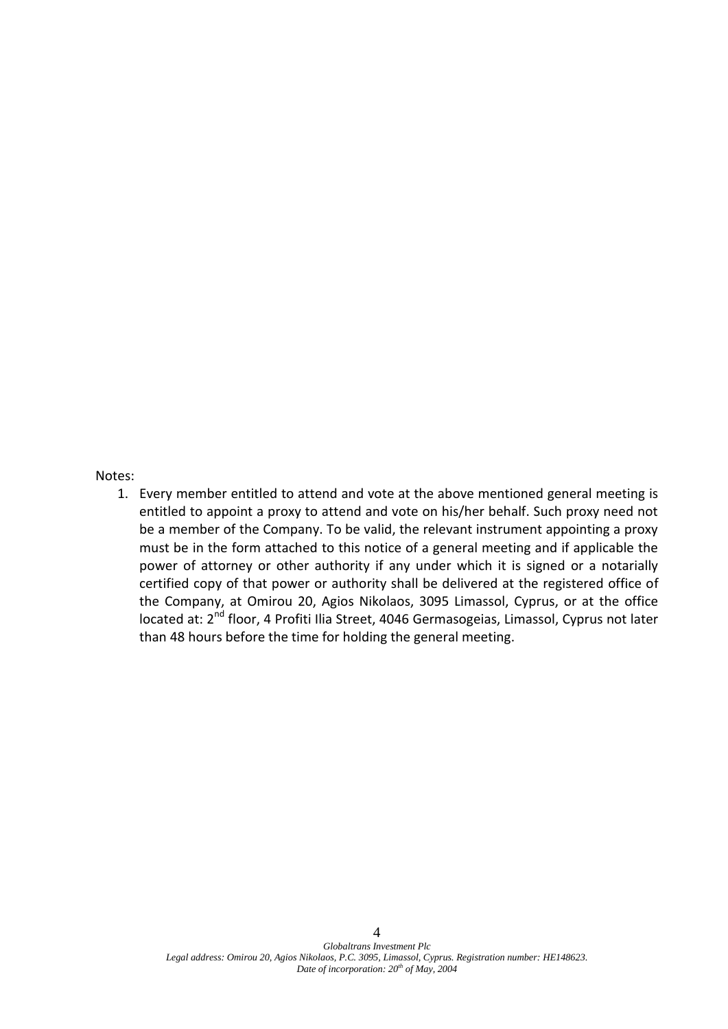#### Notes:

1. Every member entitled to attend and vote at the above mentioned general meeting is entitled to appoint a proxy to attend and vote on his/her behalf. Such proxy need not be a member of the Company. To be valid, the relevant instrument appointing a proxy must be in the form attached to this notice of a general meeting and if applicable the power of attorney or other authority if any under which it is signed or a notarially certified copy of that power or authority shall be delivered at the registered office of the Company, at Omirou 20, Agios Nikolaos, 3095 Limassol, Cyprus, or at the office located at: 2<sup>nd</sup> floor, 4 Profiti Ilia Street, 4046 Germasogeias, Limassol, Cyprus not later than 48 hours before the time for holding the general meeting.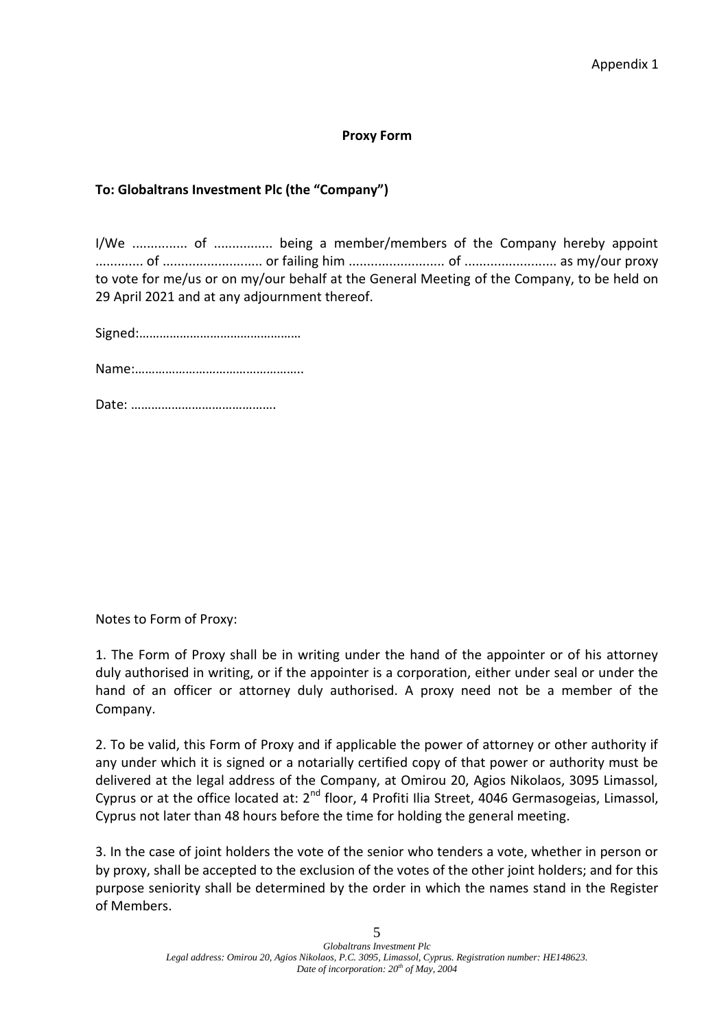#### **Proxy Form**

# **To: Globaltrans Investment Plc (the "Company")**

I/We ............... of ................ being a member/members of the Company hereby appoint ............. of ........................... or failing him .......................... of ......................... as my/our proxy to vote for me/us or on my/our behalf at the General Meeting of the Company, to be held on 29 April 2021 and at any adjournment thereof.

Signed:…………………………………………

Name:…………………………………………..

Date: …………………………………….

Notes to Form of Proxy:

1. The Form of Proxy shall be in writing under the hand of the appointer or of his attorney duly authorised in writing, or if the appointer is a corporation, either under seal or under the hand of an officer or attorney duly authorised. A proxy need not be a member of the Company.

2. To be valid, this Form of Proxy and if applicable the power of attorney or other authority if any under which it is signed or a notarially certified copy of that power or authority must be delivered at the legal address of the Company, at Omirou 20, Agios Nikolaos, 3095 Limassol, Cyprus or at the office located at: 2<sup>nd</sup> floor, 4 Profiti Ilia Street, 4046 Germasogeias, Limassol, Cyprus not later than 48 hours before the time for holding the general meeting.

3. In the case of joint holders the vote of the senior who tenders a vote, whether in person or by proxy, shall be accepted to the exclusion of the votes of the other joint holders; and for this purpose seniority shall be determined by the order in which the names stand in the Register of Members.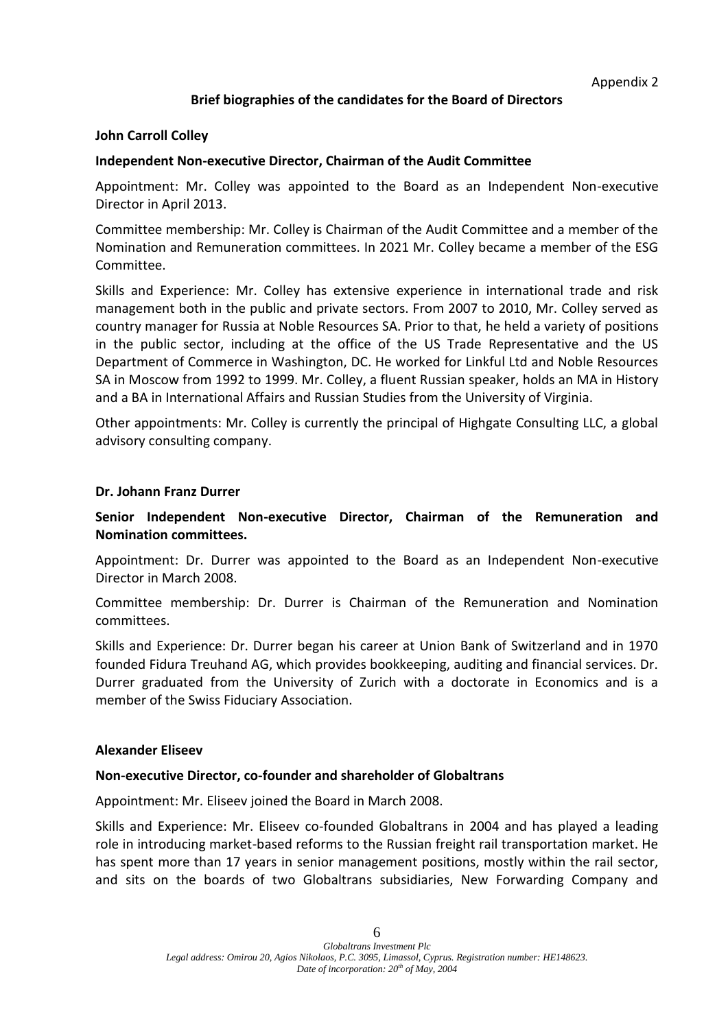# **Brief biographies of the candidates for the Board of Directors**

#### **John Carroll Colley**

# **Independent Non-executive Director, Chairman of the Audit Committee**

Appointment: Mr. Colley was appointed to the Board as an Independent Non-executive Director in April 2013.

Committee membership: Mr. Colley is Chairman of the Audit Committee and a member of the Nomination and Remuneration committees. In 2021 Mr. Colley became a member of the ESG Committee.

Skills and Experience: Mr. Colley has extensive experience in international trade and risk management both in the public and private sectors. From 2007 to 2010, Mr. Colley served as country manager for Russia at Noble Resources SA. Prior to that, he held a variety of positions in the public sector, including at the office of the US Trade Representative and the US Department of Commerce in Washington, DC. He worked for Linkful Ltd and Noble Resources SA in Moscow from 1992 to 1999. Mr. Colley, a fluent Russian speaker, holds an MA in History and a BA in International Affairs and Russian Studies from the University of Virginia.

Other appointments: Mr. Colley is currently the principal of Highgate Consulting LLC, a global advisory consulting company.

#### **Dr. Johann Franz Durrer**

# **Senior Independent Non-executive Director, Chairman of the Remuneration and Nomination committees.**

Appointment: Dr. Durrer was appointed to the Board as an Independent Non-executive Director in March 2008.

Committee membership: Dr. Durrer is Chairman of the Remuneration and Nomination committees.

Skills and Experience: Dr. Durrer began his career at Union Bank of Switzerland and in 1970 founded Fidura Treuhand AG, which provides bookkeeping, auditing and financial services. Dr. Durrer graduated from the University of Zurich with a doctorate in Economics and is a member of the Swiss Fiduciary Association.

#### **Alexander Eliseev**

#### **Non-executive Director, co-founder and shareholder of Globaltrans**

Appointment: Mr. Eliseev joined the Board in March 2008.

Skills and Experience: Mr. Eliseev co-founded Globaltrans in 2004 and has played a leading role in introducing market-based reforms to the Russian freight rail transportation market. He has spent more than 17 years in senior management positions, mostly within the rail sector, and sits on the boards of two Globaltrans subsidiaries, New Forwarding Company and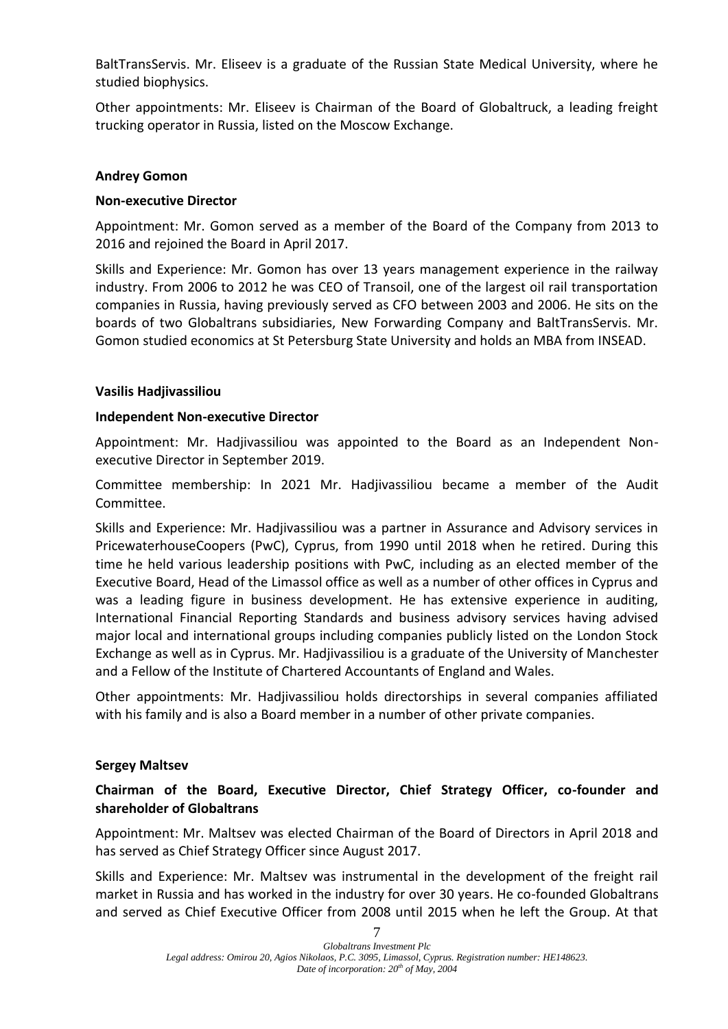BaltTransServis. Mr. Eliseev is a graduate of the Russian State Medical University, where he studied biophysics.

Other appointments: Mr. Eliseev is Chairman of the Board of Globaltruck, a leading freight trucking operator in Russia, listed on the Moscow Exchange.

# **Andrey Gomon**

# **Non-executive Director**

Appointment: Mr. Gomon served as a member of the Board of the Company from 2013 to 2016 and rejoined the Board in April 2017.

Skills and Experience: Mr. Gomon has over 13 years management experience in the railway industry. From 2006 to 2012 he was CEO of Transoil, one of the largest oil rail transportation companies in Russia, having previously served as CFO between 2003 and 2006. He sits on the boards of two Globaltrans subsidiaries, New Forwarding Company and BaltTransServis. Mr. Gomon studied economics at St Petersburg State University and holds an MBA from INSEAD.

# **Vasilis Hadjivassiliou**

# **Independent Non-executive Director**

Appointment: Mr. Hadjivassiliou was appointed to the Board as an Independent Nonexecutive Director in September 2019.

Committee membership: In 2021 Mr. Hadjivassiliou became a member of the Audit Committee.

Skills and Experience: Mr. Hadjivassiliou was a partner in Assurance and Advisory services in PricewaterhouseCoopers (PwC), Cyprus, from 1990 until 2018 when he retired. During this time he held various leadership positions with PwC, including as an elected member of the Executive Board, Head of the Limassol office as well as a number of other offices in Cyprus and was a leading figure in business development. He has extensive experience in auditing, International Financial Reporting Standards and business advisory services having advised major local and international groups including companies publicly listed on the London Stock Exchange as well as in Cyprus. Mr. Hadjivassiliou is a graduate of the University of Manchester and a Fellow of the Institute of Chartered Accountants of England and Wales.

Other appointments: Mr. Hadjivassiliou holds directorships in several companies affiliated with his family and is also a Board member in a number of other private companies.

# **Sergey Maltsev**

# **Chairman of the Board, Executive Director, Chief Strategy Officer, co-founder and shareholder of Globaltrans**

Appointment: Mr. Maltsev was elected Chairman of the Board of Directors in April 2018 and has served as Chief Strategy Officer since August 2017.

Skills and Experience: Mr. Maltsev was instrumental in the development of the freight rail market in Russia and has worked in the industry for over 30 years. He co-founded Globaltrans and served as Chief Executive Officer from 2008 until 2015 when he left the Group. At that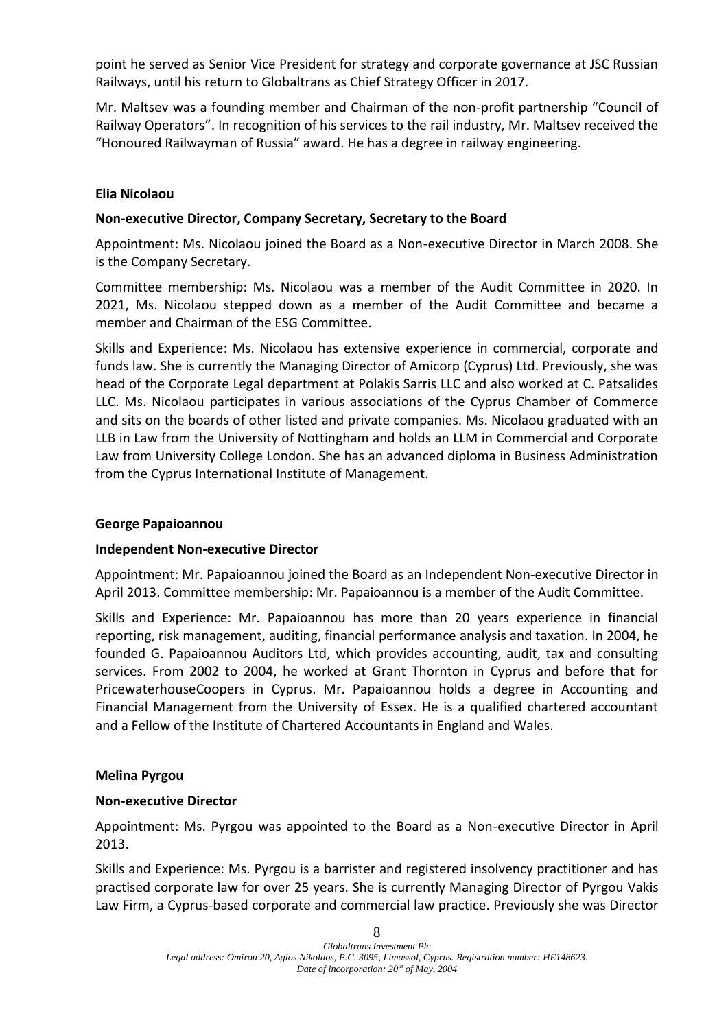point he served as Senior Vice President for strategy and corporate governance at JSC Russian Railways, until his return to Globaltrans as Chief Strategy Officer in 2017.

Mr. Maltsev was a founding member and Chairman of the non-profit partnership "Council of Railway Operators". In recognition of his services to the rail industry, Mr. Maltsev received the "Honoured Railwayman of Russia" award. He has a degree in railway engineering.

# **Elia Nicolaou**

# **Non-executive Director, Company Secretary, Secretary to the Board**

Appointment: Ms. Nicolaou joined the Board as a Non-executive Director in March 2008. She is the Company Secretary.

Committee membership: Ms. Nicolaou was a member of the Audit Committee in 2020. In 2021, Ms. Nicolaou stepped down as a member of the Audit Committee and became a member and Chairman of the ESG Committee.

Skills and Experience: Ms. Nicolaou has extensive experience in commercial, corporate and funds law. She is currently the Managing Director of Amicorp (Cyprus) Ltd. Previously, she was head of the Corporate Legal department at Polakis Sarris LLC and also worked at C. Patsalides LLC. Ms. Nicolaou participates in various associations of the Cyprus Chamber of Commerce and sits on the boards of other listed and private companies. Ms. Nicolaou graduated with an LLB in Law from the University of Nottingham and holds an LLM in Commercial and Corporate Law from University College London. She has an advanced diploma in Business Administration from the Cyprus International Institute of Management.

# **George Papaioannou**

# **Independent Non-executive Director**

Appointment: Mr. Papaioannou joined the Board as an Independent Non-executive Director in April 2013. Committee membership: Mr. Papaioannou is a member of the Audit Committee.

Skills and Experience: Mr. Papaioannou has more than 20 years experience in financial reporting, risk management, auditing, financial performance analysis and taxation. In 2004, he founded G. Papaioannou Auditors Ltd, which provides accounting, audit, tax and consulting services. From 2002 to 2004, he worked at Grant Thornton in Cyprus and before that for PricewaterhouseCoopers in Cyprus. Mr. Papaioannou holds a degree in Accounting and Financial Management from the University of Essex. He is a qualified chartered accountant and a Fellow of the Institute of Chartered Accountants in England and Wales.

# **Melina Pyrgou**

# **Non-executive Director**

Appointment: Ms. Pyrgou was appointed to the Board as a Non-executive Director in April 2013.

Skills and Experience: Ms. Pyrgou is a barrister and registered insolvency practitioner and has practised corporate law for over 25 years. She is currently Managing Director of Pyrgou Vakis Law Firm, a Cyprus-based corporate and commercial law practice. Previously she was Director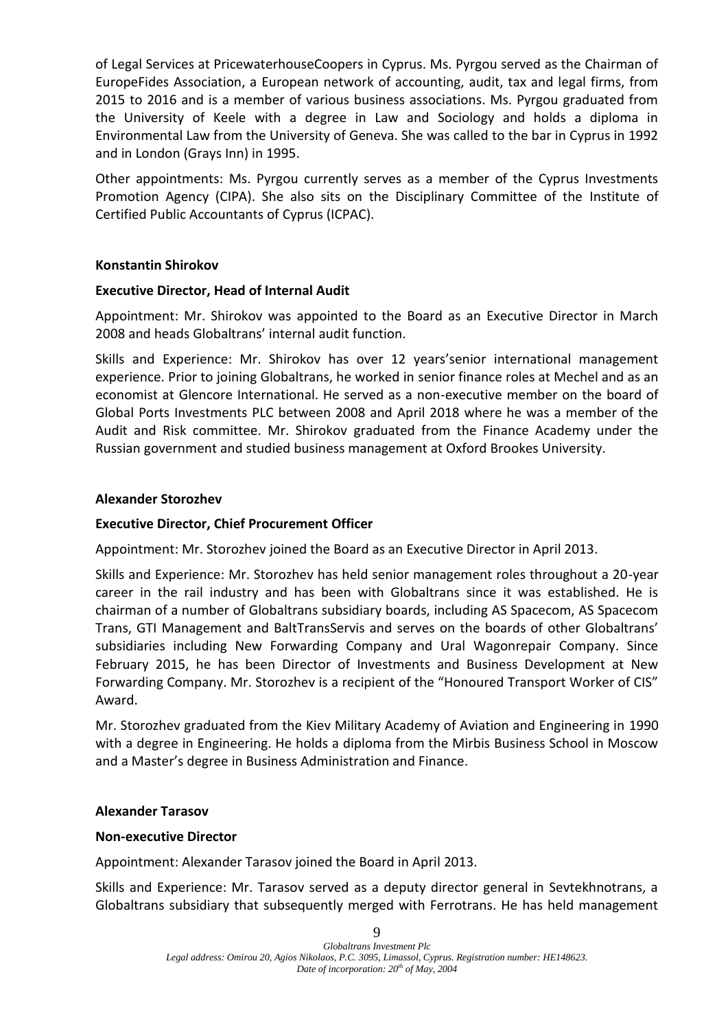of Legal Services at PricewaterhouseCoopers in Cyprus. Ms. Pyrgou served as the Chairman of EuropeFides Association, a European network of accounting, audit, tax and legal firms, from 2015 to 2016 and is a member of various business associations. Ms. Pyrgou graduated from the University of Keele with a degree in Law and Sociology and holds a diploma in Environmental Law from the University of Geneva. She was called to the bar in Cyprus in 1992 and in London (Grays Inn) in 1995.

Other appointments: Ms. Pyrgou currently serves as a member of the Cyprus Investments Promotion Agency (CIPA). She also sits on the Disciplinary Committee of the Institute of Certified Public Accountants of Cyprus (ICPAC).

# **Konstantin Shirokov**

# **Executive Director, Head of Internal Audit**

Appointment: Mr. Shirokov was appointed to the Board as an Executive Director in March 2008 and heads Globaltrans' internal audit function.

Skills and Experience: Mr. Shirokov has over 12 years'senior international management experience. Prior to joining Globaltrans, he worked in senior finance roles at Mechel and as an economist at Glencore International. He served as a non-executive member on the board of Global Ports Investments PLC between 2008 and April 2018 where he was a member of the Audit and Risk committee. Mr. Shirokov graduated from the Finance Academy under the Russian government and studied business management at Oxford Brookes University.

# **Alexander Storozhev**

# **Executive Director, Chief Procurement Officer**

Appointment: Mr. Storozhev joined the Board as an Executive Director in April 2013.

Skills and Experience: Mr. Storozhev has held senior management roles throughout a 20-year career in the rail industry and has been with Globaltrans since it was established. He is chairman of a number of Globaltrans subsidiary boards, including AS Spacecom, AS Spacecom Trans, GTI Management and BaltTransServis and serves on the boards of other Globaltrans' subsidiaries including New Forwarding Company and Ural Wagonrepair Company. Since February 2015, he has been Director of Investments and Business Development at New Forwarding Company. Mr. Storozhev is a recipient of the "Honoured Transport Worker of CIS" Award.

Mr. Storozhev graduated from the Kiev Military Academy of Aviation and Engineering in 1990 with a degree in Engineering. He holds a diploma from the Mirbis Business School in Moscow and a Master's degree in Business Administration and Finance.

# **Alexander Tarasov**

# **Non-executive Director**

Appointment: Alexander Tarasov joined the Board in April 2013.

Skills and Experience: Mr. Tarasov served as a deputy director general in Sevtekhnotrans, a Globaltrans subsidiary that subsequently merged with Ferrotrans. He has held management